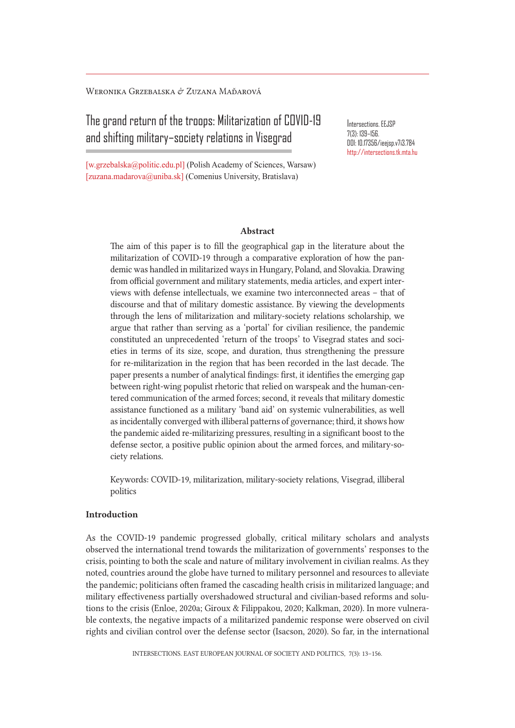Weronika Grzebalska & Zuzana Maďarová

The grand return of the troops: Militarization of COVID-19 and shifting military–society relations in Visegrad

[w.grzebalska@politic.edu.pl] (Polish Academy of Sciences, Warsaw) [zuzana.madarova@uniba.sk] (Comenius University, Bratislava)

Intersections. EEJSP 7(3): 139–156. DOI: 10.17356/ieejsp.v7i3.784 http://intersections.tk.mta.hu

### Abstract

The aim of this paper is to fill the geographical gap in the literature about the militarization of COVID-19 through a comparative exploration of how the pandemic was handled in militarized ways in Hungary, Poland, and Slovakia. Drawing from official government and military statements, media articles, and expert interviews with defense intellectuals, we examine two interconnected areas – that of discourse and that of military domestic assistance. By viewing the developments through the lens of militarization and military-society relations scholarship, we argue that rather than serving as a 'portal' for civilian resilience, the pandemic constituted an unprecedented 'return of the troops' to Visegrad states and societies in terms of its size, scope, and duration, thus strengthening the pressure for re-militarization in the region that has been recorded in the last decade. The paper presents a number of analytical findings: first, it identifies the emerging gap between right-wing populist rhetoric that relied on warspeak and the human-centered communication of the armed forces; second, it reveals that military domestic assistance functioned as a military 'band aid' on systemic vulnerabilities, as well as incidentally converged with illiberal patterns of governance; third, it shows how the pandemic aided re-militarizing pressures, resulting in a significant boost to the defense sector, a positive public opinion about the armed forces, and military-society relations.

Keywords: COVID-19, militarization, military-society relations, Visegrad, illiberal politics

# Introduction

As the COVID-19 pandemic progressed globally, critical military scholars and analysts observed the international trend towards the militarization of governments' responses to the crisis, pointing to both the scale and nature of military involvement in civilian realms. As they noted, countries around the globe have turned to military personnel and resources to alleviate the pandemic; politicians often framed the cascading health crisis in militarized language; and military effectiveness partially overshadowed structural and civilian-based reforms and solutions to the crisis (Enloe, 2020a; Giroux & Filippakou, 2020; Kalkman, 2020). In more vulnerable contexts, the negative impacts of a militarized pandemic response were observed on civil rights and civilian control over the defense sector (Isacson, 2020). So far, in the international

INTERSECTIONS. EAST EUROPEAN JOURNAL OF SOCIETY AND POLITICS, 7(3): 13–156.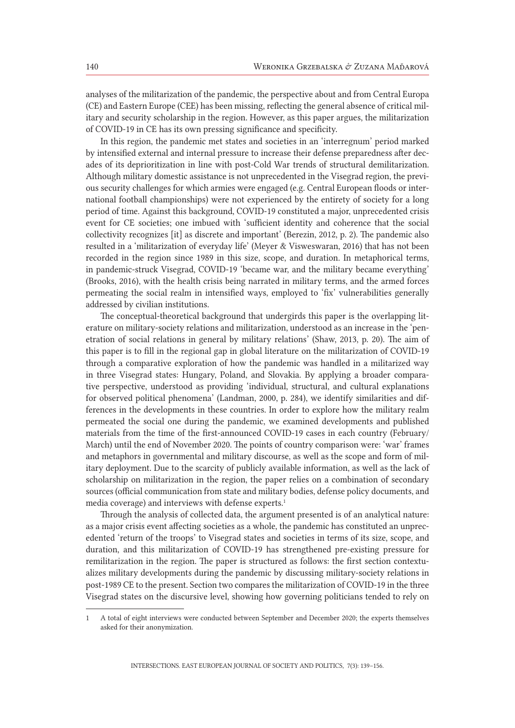analyses of the militarization of the pandemic, the perspective about and from Central Europa (CE) and Eastern Europe (CEE) has been missing, reflecting the general absence of critical military and security scholarship in the region. However, as this paper argues, the militarization of COVID-19 in CE has its own pressing significance and specificity.

In this region, the pandemic met states and societies in an 'interregnum' period marked by intensified external and internal pressure to increase their defense preparedness after decades of its deprioritization in line with post-Cold War trends of structural demilitarization. Although military domestic assistance is not unprecedented in the Visegrad region, the previous security challenges for which armies were engaged (e.g. Central European floods or international football championships) were not experienced by the entirety of society for a long period of time. Against this background, COVID-19 constituted a major, unprecedented crisis event for CE societies; one imbued with 'sufficient identity and coherence that the social collectivity recognizes [it] as discrete and important' (Berezin, 2012, p. 2). The pandemic also resulted in a 'militarization of everyday life' (Meyer & Visweswaran, 2016) that has not been recorded in the region since 1989 in this size, scope, and duration. In metaphorical terms, in pandemic-struck Visegrad, COVID-19 'became war, and the military became everything' (Brooks, 2016), with the health crisis being narrated in military terms, and the armed forces permeating the social realm in intensified ways, employed to 'fix' vulnerabilities generally addressed by civilian institutions.

The conceptual-theoretical background that undergirds this paper is the overlapping literature on military-society relations and militarization, understood as an increase in the 'penetration of social relations in general by military relations' (Shaw, 2013, p. 20). The aim of this paper is to fill in the regional gap in global literature on the militarization of COVID-19 through a comparative exploration of how the pandemic was handled in a militarized way in three Visegrad states: Hungary, Poland, and Slovakia. By applying a broader comparative perspective, understood as providing 'individual, structural, and cultural explanations for observed political phenomena' (Landman, 2000, p. 284), we identify similarities and differences in the developments in these countries. In order to explore how the military realm permeated the social one during the pandemic, we examined developments and published materials from the time of the first-announced COVID-19 cases in each country (February/ March) until the end of November 2020. The points of country comparison were: 'war' frames and metaphors in governmental and military discourse, as well as the scope and form of military deployment. Due to the scarcity of publicly available information, as well as the lack of scholarship on militarization in the region, the paper relies on a combination of secondary sources (official communication from state and military bodies, defense policy documents, and media coverage) and interviews with defense experts.<sup>1</sup>

Through the analysis of collected data, the argument presented is of an analytical nature: as a major crisis event affecting societies as a whole, the pandemic has constituted an unprecedented 'return of the troops' to Visegrad states and societies in terms of its size, scope, and duration, and this militarization of COVID-19 has strengthened pre-existing pressure for remilitarization in the region. The paper is structured as follows: the first section contextualizes military developments during the pandemic by discussing military-society relations in post-1989 CE to the present. Section two compares the militarization of COVID-19 in the three Visegrad states on the discursive level, showing how governing politicians tended to rely on

<sup>1</sup> A total of eight interviews were conducted between September and December 2020; the experts themselves asked for their anonymization.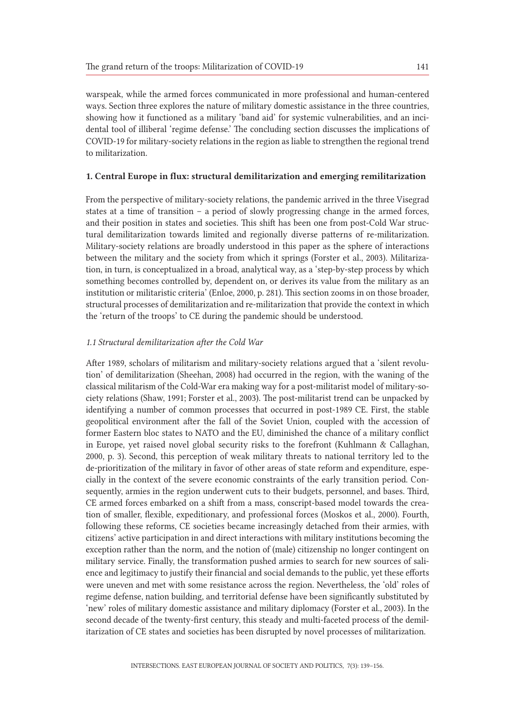warspeak, while the armed forces communicated in more professional and human-centered ways. Section three explores the nature of military domestic assistance in the three countries, showing how it functioned as a military 'band aid' for systemic vulnerabilities, and an incidental tool of illiberal 'regime defense.' The concluding section discusses the implications of COVID-19 for military-society relations in the region as liable to strengthen the regional trend to militarization.

# 1. Central Europe in flux: structural demilitarization and emerging remilitarization

From the perspective of military-society relations, the pandemic arrived in the three Visegrad states at a time of transition – a period of slowly progressing change in the armed forces, and their position in states and societies. This shift has been one from post-Cold War structural demilitarization towards limited and regionally diverse patterns of re-militarization. Military-society relations are broadly understood in this paper as the sphere of interactions between the military and the society from which it springs (Forster et al., 2003). Militarization, in turn, is conceptualized in a broad, analytical way, as a 'step-by-step process by which something becomes controlled by, dependent on, or derives its value from the military as an institution or militaristic criteria' (Enloe, 2000, p. 281). This section zooms in on those broader, structural processes of demilitarization and re-militarization that provide the context in which the 'return of the troops' to CE during the pandemic should be understood.

## *1.1 Structural demilitarization after the Cold War*

After 1989, scholars of militarism and military-society relations argued that a 'silent revolution' of demilitarization (Sheehan, 2008) had occurred in the region, with the waning of the classical militarism of the Cold-War era making way for a post-militarist model of military-society relations (Shaw, 1991; Forster et al., 2003). The post-militarist trend can be unpacked by identifying a number of common processes that occurred in post-1989 CE. First, the stable geopolitical environment after the fall of the Soviet Union, coupled with the accession of former Eastern bloc states to NATO and the EU, diminished the chance of a military conflict in Europe, yet raised novel global security risks to the forefront (Kuhlmann & Callaghan, 2000, p. 3). Second, this perception of weak military threats to national territory led to the de-prioritization of the military in favor of other areas of state reform and expenditure, especially in the context of the severe economic constraints of the early transition period. Consequently, armies in the region underwent cuts to their budgets, personnel, and bases. Third, CE armed forces embarked on a shift from a mass, conscript-based model towards the creation of smaller, flexible, expeditionary, and professional forces (Moskos et al., 2000). Fourth, following these reforms, CE societies became increasingly detached from their armies, with citizens' active participation in and direct interactions with military institutions becoming the exception rather than the norm, and the notion of (male) citizenship no longer contingent on military service. Finally, the transformation pushed armies to search for new sources of salience and legitimacy to justify their financial and social demands to the public, yet these efforts were uneven and met with some resistance across the region. Nevertheless, the 'old' roles of regime defense, nation building, and territorial defense have been significantly substituted by 'new' roles of military domestic assistance and military diplomacy (Forster et al., 2003). In the second decade of the twenty-first century, this steady and multi-faceted process of the demilitarization of CE states and societies has been disrupted by novel processes of militarization.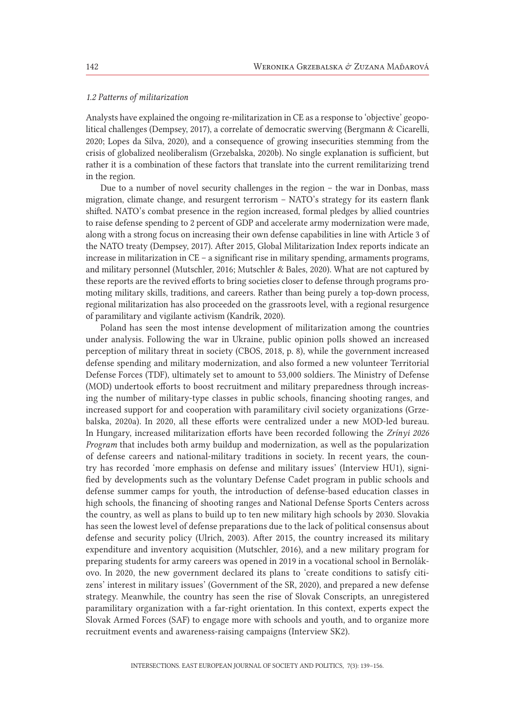#### *1.2 Patterns of militarization*

Analysts have explained the ongoing re-militarization in CE as a response to 'objective' geopolitical challenges (Dempsey, 2017), a correlate of democratic swerving (Bergmann & Cicarelli, 2020; Lopes da Silva, 2020), and a consequence of growing insecurities stemming from the crisis of globalized neoliberalism (Grzebalska, 2020b). No single explanation is sufficient, but rather it is a combination of these factors that translate into the current remilitarizing trend in the region.

Due to a number of novel security challenges in the region – the war in Donbas, mass migration, climate change, and resurgent terrorism – NATO's strategy for its eastern flank shifted. NATO's combat presence in the region increased, formal pledges by allied countries to raise defense spending to 2 percent of GDP and accelerate army modernization were made, along with a strong focus on increasing their own defense capabilities in line with Article 3 of the NATO treaty (Dempsey, 2017). After 2015, Global Militarization Index reports indicate an increase in militarization in CE – a significant rise in military spending, armaments programs, and military personnel (Mutschler, 2016; Mutschler & Bales, 2020). What are not captured by these reports are the revived efforts to bring societies closer to defense through programs promoting military skills, traditions, and careers. Rather than being purely a top-down process, regional militarization has also proceeded on the grassroots level, with a regional resurgence of paramilitary and vigilante activism (Kandrík, 2020).

Poland has seen the most intense development of militarization among the countries under analysis. Following the war in Ukraine, public opinion polls showed an increased perception of military threat in society (CBOS, 2018, p. 8), while the government increased defense spending and military modernization, and also formed a new volunteer Territorial Defense Forces (TDF), ultimately set to amount to 53,000 soldiers. The Ministry of Defense (MOD) undertook efforts to boost recruitment and military preparedness through increasing the number of military-type classes in public schools, financing shooting ranges, and increased support for and cooperation with paramilitary civil society organizations (Grzebalska, 2020a). In 2020, all these efforts were centralized under a new MOD-led bureau. In Hungary, increased militarization efforts have been recorded following the *Zrínyi 2026 Program* that includes both army buildup and modernization, as well as the popularization of defense careers and national-military traditions in society. In recent years, the country has recorded 'more emphasis on defense and military issues' (Interview HU1), signified by developments such as the voluntary Defense Cadet program in public schools and defense summer camps for youth, the introduction of defense-based education classes in high schools, the financing of shooting ranges and National Defense Sports Centers across the country, as well as plans to build up to ten new military high schools by 2030. Slovakia has seen the lowest level of defense preparations due to the lack of political consensus about defense and security policy (Ulrich, 2003). After 2015, the country increased its military expenditure and inventory acquisition (Mutschler, 2016), and a new military program for preparing students for army careers was opened in 2019 in a vocational school in Bernolákovo. In 2020, the new government declared its plans to 'create conditions to satisfy citizens' interest in military issues' (Government of the SR, 2020), and prepared a new defense strategy. Meanwhile, the country has seen the rise of Slovak Conscripts, an unregistered paramilitary organization with a far-right orientation. In this context, experts expect the Slovak Armed Forces (SAF) to engage more with schools and youth, and to organize more recruitment events and awareness-raising campaigns (Interview SK2).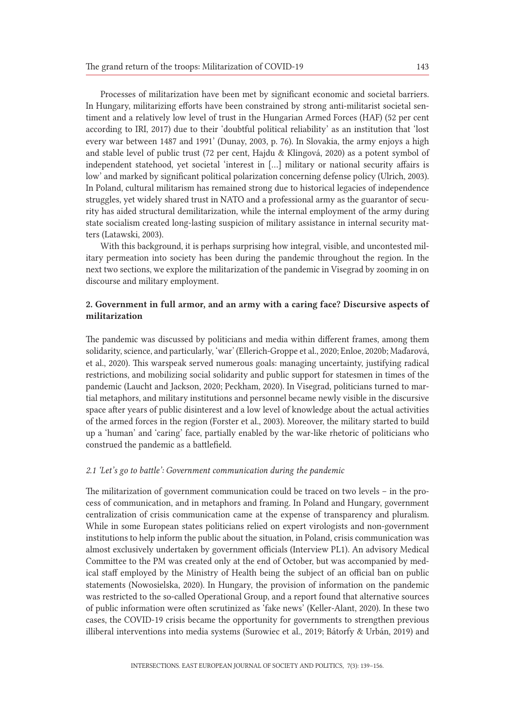Processes of militarization have been met by significant economic and societal barriers. In Hungary, militarizing efforts have been constrained by strong anti-militarist societal sentiment and a relatively low level of trust in the Hungarian Armed Forces (HAF) (52 per cent according to IRI, 2017) due to their 'doubtful political reliability' as an institution that 'lost every war between 1487 and 1991' (Dunay, 2003, p. 76). In Slovakia, the army enjoys a high and stable level of public trust (72 per cent, Hajdu & Klingová, 2020) as a potent symbol of independent statehood, yet societal 'interest in […] military or national security affairs is low' and marked by significant political polarization concerning defense policy (Ulrich, 2003). In Poland, cultural militarism has remained strong due to historical legacies of independence struggles, yet widely shared trust in NATO and a professional army as the guarantor of security has aided structural demilitarization, while the internal employment of the army during state socialism created long-lasting suspicion of military assistance in internal security matters (Latawski, 2003).

With this background, it is perhaps surprising how integral, visible, and uncontested military permeation into society has been during the pandemic throughout the region. In the next two sections, we explore the militarization of the pandemic in Visegrad by zooming in on discourse and military employment.

# 2. Government in full armor, and an army with a caring face? Discursive aspects of militarization

The pandemic was discussed by politicians and media within different frames, among them solidarity, science, and particularly, 'war' (Ellerich-Groppe et al., 2020; Enloe, 2020b; Maďarová, et al., 2020). This warspeak served numerous goals: managing uncertainty, justifying radical restrictions, and mobilizing social solidarity and public support for statesmen in times of the pandemic (Laucht and Jackson, 2020; Peckham, 2020). In Visegrad, politicians turned to martial metaphors, and military institutions and personnel became newly visible in the discursive space after years of public disinterest and a low level of knowledge about the actual activities of the armed forces in the region (Forster et al., 2003). Moreover, the military started to build up a 'human' and 'caring' face, partially enabled by the war-like rhetoric of politicians who construed the pandemic as a battlefield.

### *2.1 'Let's go to battle': Government communication during the pandemic*

The militarization of government communication could be traced on two levels – in the process of communication, and in metaphors and framing. In Poland and Hungary, government centralization of crisis communication came at the expense of transparency and pluralism. While in some European states politicians relied on expert virologists and non-government institutions to help inform the public about the situation, in Poland, crisis communication was almost exclusively undertaken by government officials (Interview PL1). An advisory Medical Committee to the PM was created only at the end of October, but was accompanied by medical staff employed by the Ministry of Health being the subject of an official ban on public statements (Nowosielska, 2020). In Hungary, the provision of information on the pandemic was restricted to the so-called Operational Group, and a report found that alternative sources of public information were often scrutinized as 'fake news' (Keller-Alant, 2020). In these two cases, the COVID-19 crisis became the opportunity for governments to strengthen previous illiberal interventions into media systems (Surowiec et al., 2019; Bátorfy & Urbán, 2019) and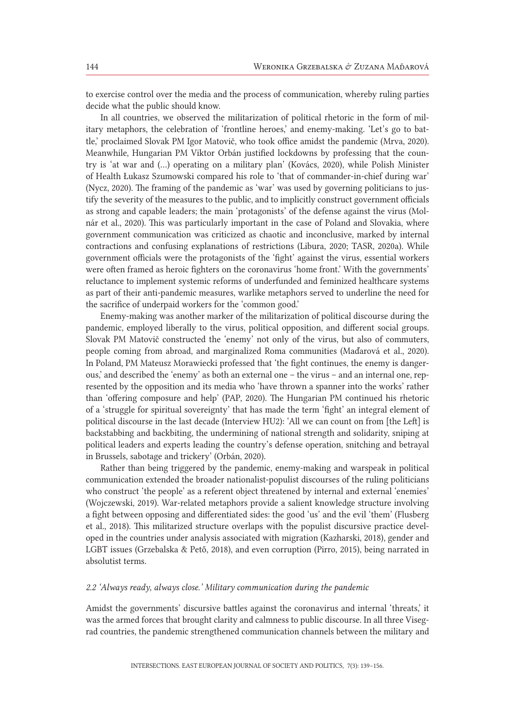to exercise control over the media and the process of communication, whereby ruling parties decide what the public should know.

In all countries, we observed the militarization of political rhetoric in the form of military metaphors, the celebration of 'frontline heroes,' and enemy-making. 'Let's go to battle,' proclaimed Slovak PM Igor Matovič, who took office amidst the pandemic (Mrva, 2020). Meanwhile, Hungarian PM Viktor Orbán justified lockdowns by professing that the country is 'at war and (...) operating on a military plan' (Kovács, 2020), while Polish Minister of Health Łukasz Szumowski compared his role to 'that of commander-in-chief during war' (Nycz, 2020). The framing of the pandemic as 'war' was used by governing politicians to justify the severity of the measures to the public, and to implicitly construct government officials as strong and capable leaders; the main 'protagonists' of the defense against the virus (Molnár et al., 2020). This was particularly important in the case of Poland and Slovakia, where government communication was criticized as chaotic and inconclusive, marked by internal contractions and confusing explanations of restrictions (Libura, 2020; TASR, 2020a). While government officials were the protagonists of the 'fight' against the virus, essential workers were often framed as heroic fighters on the coronavirus 'home front.' With the governments' reluctance to implement systemic reforms of underfunded and feminized healthcare systems as part of their anti-pandemic measures, warlike metaphors served to underline the need for the sacrifice of underpaid workers for the 'common good.'

Enemy-making was another marker of the militarization of political discourse during the pandemic, employed liberally to the virus, political opposition, and different social groups. Slovak PM Matovič constructed the 'enemy' not only of the virus, but also of commuters, people coming from abroad, and marginalized Roma communities (Maďarová et al., 2020). In Poland, PM Mateusz Morawiecki professed that 'the fight continues, the enemy is dangerous,' and described the 'enemy' as both an external one – the virus – and an internal one, represented by the opposition and its media who 'have thrown a spanner into the works' rather than 'offering composure and help' (PAP, 2020). The Hungarian PM continued his rhetoric of a 'struggle for spiritual sovereignty' that has made the term 'fight' an integral element of political discourse in the last decade (Interview HU2): 'All we can count on from [the Left] is backstabbing and backbiting, the undermining of national strength and solidarity, sniping at political leaders and experts leading the country's defense operation, snitching and betrayal in Brussels, sabotage and trickery' (Orbán, 2020).

Rather than being triggered by the pandemic, enemy-making and warspeak in political communication extended the broader nationalist-populist discourses of the ruling politicians who construct 'the people' as a referent object threatened by internal and external 'enemies' (Wojczewski, 2019). War-related metaphors provide a salient knowledge structure involving a fight between opposing and differentiated sides: the good 'us' and the evil 'them' (Flusberg et al., 2018). This militarized structure overlaps with the populist discursive practice developed in the countries under analysis associated with migration (Kazharski, 2018), gender and LGBT issues (Grzebalska & Pető, 2018), and even corruption (Pirro, 2015), being narrated in absolutist terms.

### *2.2 'Always ready, always close.' Military communication during the pandemic*

Amidst the governments' discursive battles against the coronavirus and internal 'threats,' it was the armed forces that brought clarity and calmness to public discourse. In all three Visegrad countries, the pandemic strengthened communication channels between the military and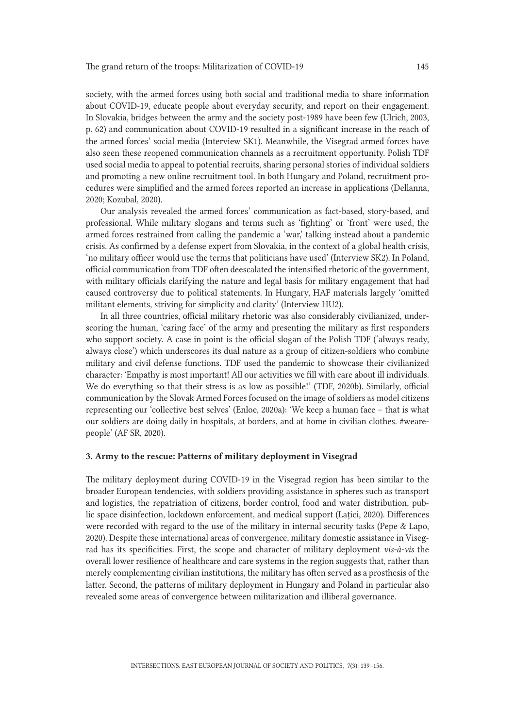society, with the armed forces using both social and traditional media to share information about COVID-19, educate people about everyday security, and report on their engagement. In Slovakia, bridges between the army and the society post-1989 have been few (Ulrich, 2003, p. 62) and communication about COVID-19 resulted in a significant increase in the reach of the armed forces' social media (Interview SK1). Meanwhile, the Visegrad armed forces have also seen these reopened communication channels as a recruitment opportunity. Polish TDF used social media to appeal to potential recruits, sharing personal stories of individual soldiers and promoting a new online recruitment tool. In both Hungary and Poland, recruitment procedures were simplified and the armed forces reported an increase in applications (Dellanna, 2020; Kozubal, 2020).

Our analysis revealed the armed forces' communication as fact-based, story-based, and professional. While military slogans and terms such as 'fighting' or 'front' were used, the armed forces restrained from calling the pandemic a 'war,' talking instead about a pandemic crisis. As confirmed by a defense expert from Slovakia, in the context of a global health crisis, 'no military officer would use the terms that politicians have used' (Interview SK2). In Poland, official communication from TDF often deescalated the intensified rhetoric of the government, with military officials clarifying the nature and legal basis for military engagement that had caused controversy due to political statements. In Hungary, HAF materials largely 'omitted militant elements, striving for simplicity and clarity' (Interview HU2).

In all three countries, official military rhetoric was also considerably civilianized, underscoring the human, 'caring face' of the army and presenting the military as first responders who support society. A case in point is the official slogan of the Polish TDF ('always ready, always close') which underscores its dual nature as a group of citizen-soldiers who combine military and civil defense functions. TDF used the pandemic to showcase their civilianized character: 'Empathy is most important! All our activities we fill with care about ill individuals. We do everything so that their stress is as low as possible!' (TDF, 2020b). Similarly, official communication by the Slovak Armed Forces focused on the image of soldiers as model citizens representing our 'collective best selves' (Enloe, 2020a): 'We keep a human face – that is what our soldiers are doing daily in hospitals, at borders, and at home in civilian clothes. #wearepeople' (AF SR, 2020).

## 3. Army to the rescue: Patterns of military deployment in Visegrad

The military deployment during COVID-19 in the Visegrad region has been similar to the broader European tendencies, with soldiers providing assistance in spheres such as transport and logistics, the repatriation of citizens, border control, food and water distribution, public space disinfection, lockdown enforcement, and medical support (Lațici, 2020). Differences were recorded with regard to the use of the military in internal security tasks (Pepe & Lapo, 2020). Despite these international areas of convergence, military domestic assistance in Visegrad has its specificities. First, the scope and character of military deployment *vis-à-vis* the overall lower resilience of healthcare and care systems in the region suggests that, rather than merely complementing civilian institutions, the military has often served as a prosthesis of the latter. Second, the patterns of military deployment in Hungary and Poland in particular also revealed some areas of convergence between militarization and illiberal governance.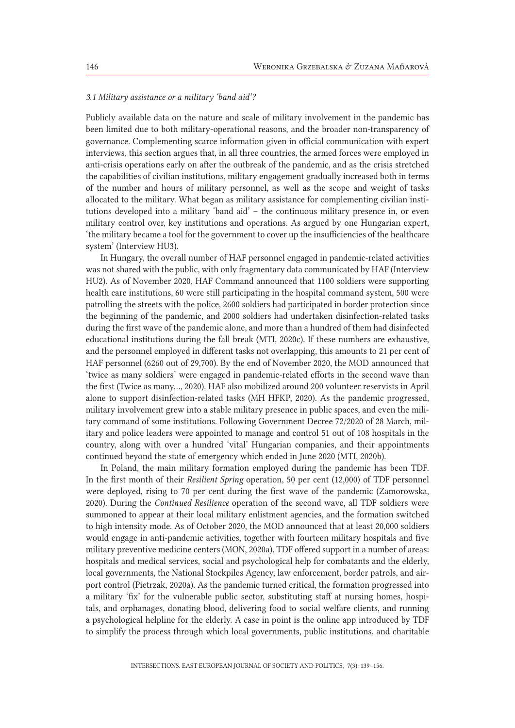#### *3.1 Military assistance or a military 'band aid'?*

Publicly available data on the nature and scale of military involvement in the pandemic has been limited due to both military-operational reasons, and the broader non-transparency of governance. Complementing scarce information given in official communication with expert interviews, this section argues that, in all three countries, the armed forces were employed in anti-crisis operations early on after the outbreak of the pandemic, and as the crisis stretched the capabilities of civilian institutions, military engagement gradually increased both in terms of the number and hours of military personnel, as well as the scope and weight of tasks allocated to the military. What began as military assistance for complementing civilian institutions developed into a military 'band aid' – the continuous military presence in, or even military control over, key institutions and operations. As argued by one Hungarian expert, 'the military became a tool for the government to cover up the insufficiencies of the healthcare system' (Interview HU3).

In Hungary, the overall number of HAF personnel engaged in pandemic-related activities was not shared with the public, with only fragmentary data communicated by HAF (Interview HU2). As of November 2020, HAF Command announced that 1100 soldiers were supporting health care institutions, 60 were still participating in the hospital command system, 500 were patrolling the streets with the police, 2600 soldiers had participated in border protection since the beginning of the pandemic, and 2000 soldiers had undertaken disinfection-related tasks during the first wave of the pandemic alone, and more than a hundred of them had disinfected educational institutions during the fall break (MTI, 2020c). If these numbers are exhaustive, and the personnel employed in different tasks not overlapping, this amounts to 21 per cent of HAF personnel (6260 out of 29,700). By the end of November 2020, the MOD announced that 'twice as many soldiers' were engaged in pandemic-related efforts in the second wave than the first (Twice as many…, 2020). HAF also mobilized around 200 volunteer reservists in April alone to support disinfection-related tasks (MH HFKP, 2020). As the pandemic progressed, military involvement grew into a stable military presence in public spaces, and even the military command of some institutions. Following Government Decree 72/2020 of 28 March, military and police leaders were appointed to manage and control 51 out of 108 hospitals in the country, along with over a hundred 'vital' Hungarian companies, and their appointments continued beyond the state of emergency which ended in June 2020 (MTI, 2020b).

In Poland, the main military formation employed during the pandemic has been TDF. In the first month of their *Resilient Spring* operation, 50 per cent (12,000) of TDF personnel were deployed, rising to 70 per cent during the first wave of the pandemic (Zamorowska, 2020). During the *Continued Resilience* operation of the second wave, all TDF soldiers were summoned to appear at their local military enlistment agencies, and the formation switched to high intensity mode. As of October 2020, the MOD announced that at least 20,000 soldiers would engage in anti-pandemic activities, together with fourteen military hospitals and five military preventive medicine centers (MON, 2020a). TDF offered support in a number of areas: hospitals and medical services, social and psychological help for combatants and the elderly, local governments, the National Stockpiles Agency, law enforcement, border patrols, and airport control (Pietrzak, 2020a). As the pandemic turned critical, the formation progressed into a military 'fix' for the vulnerable public sector, substituting staff at nursing homes, hospitals, and orphanages, donating blood, delivering food to social welfare clients, and running a psychological helpline for the elderly. A case in point is the online app introduced by TDF to simplify the process through which local governments, public institutions, and charitable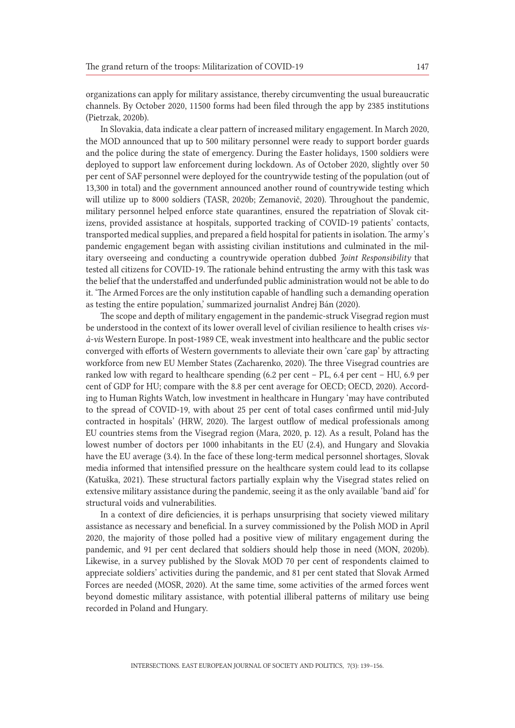organizations can apply for military assistance, thereby circumventing the usual bureaucratic channels. By October 2020, 11500 forms had been filed through the app by 2385 institutions (Pietrzak, 2020b).

In Slovakia, data indicate a clear pattern of increased military engagement. In March 2020, the MOD announced that up to 500 military personnel were ready to support border guards and the police during the state of emergency. During the Easter holidays, 1500 soldiers were deployed to support law enforcement during lockdown. As of October 2020, slightly over 50 per cent of SAF personnel were deployed for the countrywide testing of the population (out of 13,300 in total) and the government announced another round of countrywide testing which will utilize up to 8000 soldiers (TASR, 2020b; Zemanovič, 2020). Throughout the pandemic, military personnel helped enforce state quarantines, ensured the repatriation of Slovak citizens, provided assistance at hospitals, supported tracking of COVID-19 patients' contacts, transported medical supplies, and prepared a field hospital for patients in isolation. The army's pandemic engagement began with assisting civilian institutions and culminated in the military overseeing and conducting a countrywide operation dubbed *Joint Responsibility* that tested all citizens for COVID-19. The rationale behind entrusting the army with this task was the belief that the understaffed and underfunded public administration would not be able to do it. 'The Armed Forces are the only institution capable of handling such a demanding operation as testing the entire population,' summarized journalist Andrej Bán (2020).

The scope and depth of military engagement in the pandemic-struck Visegrad region must be understood in the context of its lower overall level of civilian resilience to health crises *visà-vis* Western Europe. In post-1989 CE, weak investment into healthcare and the public sector converged with efforts of Western governments to alleviate their own 'care gap' by attracting workforce from new EU Member States (Zacharenko, 2020). The three Visegrad countries are ranked low with regard to healthcare spending (6.2 per cent – PL, 6.4 per cent – HU, 6.9 per cent of GDP for HU; compare with the 8.8 per cent average for OECD; OECD, 2020). According to Human Rights Watch, low investment in healthcare in Hungary 'may have contributed to the spread of COVID-19, with about 25 per cent of total cases confirmed until mid-July contracted in hospitals' (HRW, 2020). The largest outflow of medical professionals among EU countries stems from the Visegrad region (Mara, 2020, p. 12). As a result, Poland has the lowest number of doctors per 1000 inhabitants in the EU (2.4), and Hungary and Slovakia have the EU average (3.4). In the face of these long-term medical personnel shortages, Slovak media informed that intensified pressure on the healthcare system could lead to its collapse (Katuška, 2021). These structural factors partially explain why the Visegrad states relied on extensive military assistance during the pandemic, seeing it as the only available 'band aid' for structural voids and vulnerabilities.

In a context of dire deficiencies, it is perhaps unsurprising that society viewed military assistance as necessary and beneficial. In a survey commissioned by the Polish MOD in April 2020, the majority of those polled had a positive view of military engagement during the pandemic, and 91 per cent declared that soldiers should help those in need (MON, 2020b). Likewise, in a survey published by the Slovak MOD 70 per cent of respondents claimed to appreciate soldiers' activities during the pandemic, and 81 per cent stated that Slovak Armed Forces are needed (MOSR, 2020). At the same time, some activities of the armed forces went beyond domestic military assistance, with potential illiberal patterns of military use being recorded in Poland and Hungary.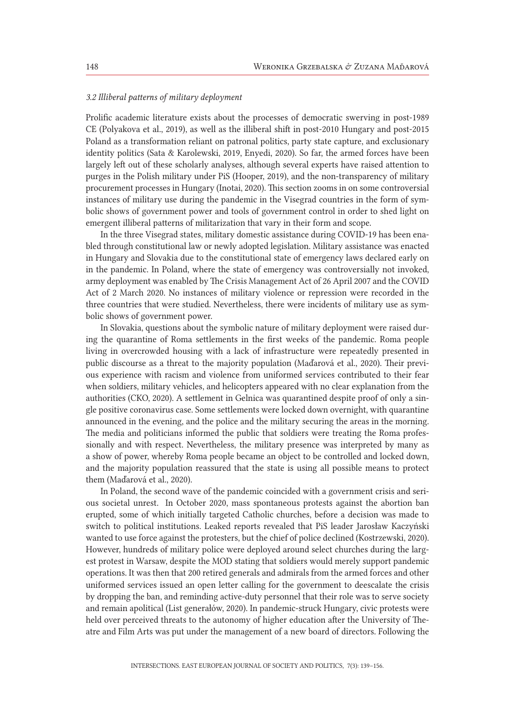#### *3.2 Illiberal patterns of military deployment*

Prolific academic literature exists about the processes of democratic swerving in post-1989 CE (Polyakova et al., 2019), as well as the illiberal shift in post-2010 Hungary and post-2015 Poland as a transformation reliant on patronal politics, party state capture, and exclusionary identity politics (Sata & Karolewski, 2019, Enyedi, 2020). So far, the armed forces have been largely left out of these scholarly analyses, although several experts have raised attention to purges in the Polish military under PiS (Hooper, 2019), and the non-transparency of military procurement processes in Hungary (Inotai, 2020). This section zooms in on some controversial instances of military use during the pandemic in the Visegrad countries in the form of symbolic shows of government power and tools of government control in order to shed light on emergent illiberal patterns of militarization that vary in their form and scope.

In the three Visegrad states, military domestic assistance during COVID-19 has been enabled through constitutional law or newly adopted legislation. Military assistance was enacted in Hungary and Slovakia due to the constitutional state of emergency laws declared early on in the pandemic. In Poland, where the state of emergency was controversially not invoked, army deployment was enabled by The Crisis Management Act of 26 April 2007 and the COVID Act of 2 March 2020. No instances of military violence or repression were recorded in the three countries that were studied. Nevertheless, there were incidents of military use as symbolic shows of government power.

In Slovakia, questions about the symbolic nature of military deployment were raised during the quarantine of Roma settlements in the first weeks of the pandemic. Roma people living in overcrowded housing with a lack of infrastructure were repeatedly presented in public discourse as a threat to the majority population (Maďarová et al., 2020). Their previous experience with racism and violence from uniformed services contributed to their fear when soldiers, military vehicles, and helicopters appeared with no clear explanation from the authorities (CKO, 2020). A settlement in Gelnica was quarantined despite proof of only a single positive coronavirus case. Some settlements were locked down overnight, with quarantine announced in the evening, and the police and the military securing the areas in the morning. The media and politicians informed the public that soldiers were treating the Roma professionally and with respect. Nevertheless, the military presence was interpreted by many as a show of power, whereby Roma people became an object to be controlled and locked down, and the majority population reassured that the state is using all possible means to protect them (Maďarová et al., 2020).

In Poland, the second wave of the pandemic coincided with a government crisis and serious societal unrest. In October 2020, mass spontaneous protests against the abortion ban erupted, some of which initially targeted Catholic churches, before a decision was made to switch to political institutions. Leaked reports revealed that PiS leader Jarosław Kaczyński wanted to use force against the protesters, but the chief of police declined (Kostrzewski, 2020). However, hundreds of military police were deployed around select churches during the largest protest in Warsaw, despite the MOD stating that soldiers would merely support pandemic operations. It was then that 200 retired generals and admirals from the armed forces and other uniformed services issued an open letter calling for the government to deescalate the crisis by dropping the ban, and reminding active-duty personnel that their role was to serve society and remain apolitical (List generałów, 2020). In pandemic-struck Hungary, civic protests were held over perceived threats to the autonomy of higher education after the University of Theatre and Film Arts was put under the management of a new board of directors. Following the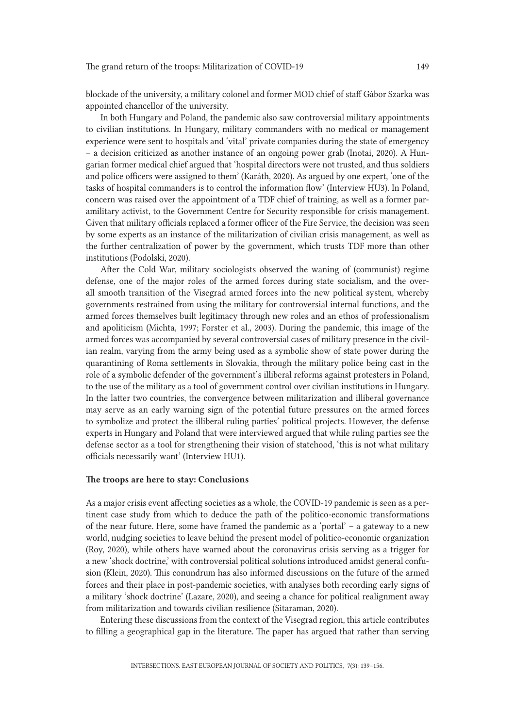blockade of the university, a military colonel and former MOD chief of staff Gábor Szarka was appointed chancellor of the university.

In both Hungary and Poland, the pandemic also saw controversial military appointments to civilian institutions. In Hungary, military commanders with no medical or management experience were sent to hospitals and 'vital' private companies during the state of emergency – a decision criticized as another instance of an ongoing power grab (Inotai, 2020). A Hungarian former medical chief argued that 'hospital directors were not trusted, and thus soldiers and police officers were assigned to them' (Karáth, 2020). As argued by one expert, 'one of the tasks of hospital commanders is to control the information flow' (Interview HU3). In Poland, concern was raised over the appointment of a TDF chief of training, as well as a former paramilitary activist, to the Government Centre for Security responsible for crisis management. Given that military officials replaced a former officer of the Fire Service, the decision was seen by some experts as an instance of the militarization of civilian crisis management, as well as the further centralization of power by the government, which trusts TDF more than other institutions (Podolski, 2020).

After the Cold War, military sociologists observed the waning of (communist) regime defense, one of the major roles of the armed forces during state socialism, and the overall smooth transition of the Visegrad armed forces into the new political system, whereby governments restrained from using the military for controversial internal functions, and the armed forces themselves built legitimacy through new roles and an ethos of professionalism and apoliticism (Michta, 1997; Forster et al., 2003). During the pandemic, this image of the armed forces was accompanied by several controversial cases of military presence in the civilian realm, varying from the army being used as a symbolic show of state power during the quarantining of Roma settlements in Slovakia, through the military police being cast in the role of a symbolic defender of the government's illiberal reforms against protesters in Poland, to the use of the military as a tool of government control over civilian institutions in Hungary. In the latter two countries, the convergence between militarization and illiberal governance may serve as an early warning sign of the potential future pressures on the armed forces to symbolize and protect the illiberal ruling parties' political projects. However, the defense experts in Hungary and Poland that were interviewed argued that while ruling parties see the defense sector as a tool for strengthening their vision of statehood, 'this is not what military officials necessarily want' (Interview HU1).

### The troops are here to stay: Conclusions

As a major crisis event affecting societies as a whole, the COVID-19 pandemic is seen as a pertinent case study from which to deduce the path of the politico-economic transformations of the near future. Here, some have framed the pandemic as a 'portal' – a gateway to a new world, nudging societies to leave behind the present model of politico-economic organization (Roy, 2020), while others have warned about the coronavirus crisis serving as a trigger for a new 'shock doctrine,' with controversial political solutions introduced amidst general confusion (Klein, 2020). This conundrum has also informed discussions on the future of the armed forces and their place in post-pandemic societies, with analyses both recording early signs of a military 'shock doctrine' (Lazare, 2020), and seeing a chance for political realignment away from militarization and towards civilian resilience (Sitaraman, 2020).

Entering these discussions from the context of the Visegrad region, this article contributes to filling a geographical gap in the literature. The paper has argued that rather than serving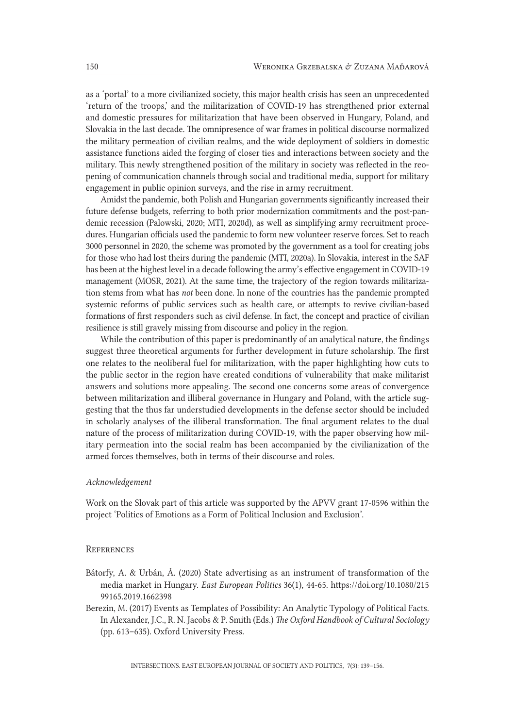as a 'portal' to a more civilianized society, this major health crisis has seen an unprecedented 'return of the troops,' and the militarization of COVID-19 has strengthened prior external and domestic pressures for militarization that have been observed in Hungary, Poland, and Slovakia in the last decade. The omnipresence of war frames in political discourse normalized the military permeation of civilian realms, and the wide deployment of soldiers in domestic assistance functions aided the forging of closer ties and interactions between society and the military. This newly strengthened position of the military in society was reflected in the reopening of communication channels through social and traditional media, support for military engagement in public opinion surveys, and the rise in army recruitment.

Amidst the pandemic, both Polish and Hungarian governments significantly increased their future defense budgets, referring to both prior modernization commitments and the post-pandemic recession (Palowski, 2020; MTI, 2020d), as well as simplifying army recruitment procedures. Hungarian officials used the pandemic to form new volunteer reserve forces. Set to reach 3000 personnel in 2020, the scheme was promoted by the government as a tool for creating jobs for those who had lost theirs during the pandemic (MTI, 2020a). In Slovakia, interest in the SAF has been at the highest level in a decade following the army's effective engagement in COVID-19 management (MOSR, 2021). At the same time, the trajectory of the region towards militarization stems from what has *not* been done. In none of the countries has the pandemic prompted systemic reforms of public services such as health care, or attempts to revive civilian-based formations of first responders such as civil defense. In fact, the concept and practice of civilian resilience is still gravely missing from discourse and policy in the region.

While the contribution of this paper is predominantly of an analytical nature, the findings suggest three theoretical arguments for further development in future scholarship. The first one relates to the neoliberal fuel for militarization, with the paper highlighting how cuts to the public sector in the region have created conditions of vulnerability that make militarist answers and solutions more appealing. The second one concerns some areas of convergence between militarization and illiberal governance in Hungary and Poland, with the article suggesting that the thus far understudied developments in the defense sector should be included in scholarly analyses of the illiberal transformation. The final argument relates to the dual nature of the process of militarization during COVID-19, with the paper observing how military permeation into the social realm has been accompanied by the civilianization of the armed forces themselves, both in terms of their discourse and roles.

#### *Acknowledgement*

Work on the Slovak part of this article was supported by the APVV grant 17-0596 within the project 'Politics of Emotions as a Form of Political Inclusion and Exclusion'.

#### **REFERENCES**

- Bátorfy, A. & Urbán, Á. (2020) State advertising as an instrument of transformation of the media market in Hungary. *East European Politics* 36(1), 44-65. https://doi.org/10.1080/215 99165.2019.1662398
- Berezin, M. (2017) Events as Templates of Possibility: An Analytic Typology of Political Facts. In Alexander, J.C., R. N. Jacobs & P. Smith (Eds.) *The Oxford Handbook of Cultural Sociology*  (pp. 613–635). Oxford University Press.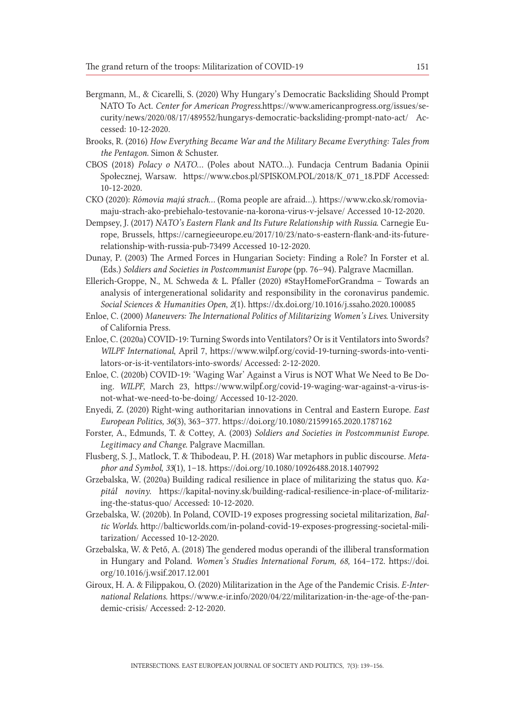- Bergmann, M., & Cicarelli, S. (2020) Why Hungary's Democratic Backsliding Should Prompt NATO To Act. *Center for American Progress*.https://www.americanprogress.org/issues/security/news/2020/08/17/489552/hungarys-democratic-backsliding-prompt-nato-act/ Accessed: 10-12-2020.
- Brooks, R. (2016) *How Everything Became War and the Military Became Everything: Tales from the Pentagon*. Simon & Schuster.
- CBOS (2018) *Polacy o NATO…* (Poles about NATO…). Fundacja Centrum Badania Opinii Społecznej, Warsaw. https://www.cbos.pl/SPISKOM.POL/2018/K\_071\_18.PDF Accessed: 10-12-2020.
- CKO (2020): *Rómovia majú strach…* (Roma people are afraid…). https://www.cko.sk/romoviamaju-strach-ako-prebiehalo-testovanie-na-korona-virus-v-jelsave/ Accessed 10-12-2020.
- Dempsey, J. (2017) *NATO's Eastern Flank and Its Future Relationship with Russia*. Carnegie Europe, Brussels, https://carnegieeurope.eu/2017/10/23/nato-s-eastern-flank-and-its-futurerelationship-with-russia-pub-73499 Accessed 10-12-2020.
- Dunay, P. (2003) The Armed Forces in Hungarian Society: Finding a Role? In Forster et al. (Eds.) *Soldiers and Societies in Postcommunist Europe* (pp. 76–94)*.* Palgrave Macmillan.
- Ellerich-Groppe, N., M. Schweda & L. Pfaller (2020) #StayHomeForGrandma Towards an analysis of intergenerational solidarity and responsibility in the coronavirus pandemic. *Social Sciences & Humanities Open*, *2*(1). https://dx.doi.org/10.1016/j.ssaho.2020.100085
- Enloe, C. (2000) *Maneuvers: The International Politics of Militarizing Women's Lives*. University of California Press.
- Enloe, C. (2020a) COVID-19: Turning Swords into Ventilators? Or is it Ventilators into Swords? *WILPF International*, April 7, https://www.wilpf.org/covid-19-turning-swords-into-ventilators-or-is-it-ventilators-into-swords/ Accessed: 2-12-2020.
- Enloe, C. (2020b) COVID-19: 'Waging War' Against a Virus is NOT What We Need to Be Doing. *WILPF*, March 23, https://www.wilpf.org/covid-19-waging-war-against-a-virus-isnot-what-we-need-to-be-doing/ Accessed 10-12-2020.
- Enyedi, Z. (2020) Right-wing authoritarian innovations in Central and Eastern Europe. *East European Politics, 36*(3), 363–377. https://doi.org/10.1080/21599165.2020.1787162
- Forster, A., Edmunds, T. & Cottey, A. (2003) *Soldiers and Societies in Postcommunist Europe. Legitimacy and Change*. Palgrave Macmillan.
- Flusberg, S. J., Matlock, T. & Thibodeau, P. H. (2018) War metaphors in public discourse. *Metaphor and Symbol*, *33*(1), 1–18. https://doi.org/10.1080/10926488.2018.1407992
- Grzebalska, W. (2020a) Building radical resilience in place of militarizing the status quo. *Kapitál noviny*. https://kapital-noviny.sk/building-radical-resilience-in-place-of-militarizing-the-status-quo/ Accessed: 10-12-2020.
- Grzebalska, W. (2020b). In Poland, COVID-19 exposes progressing societal militarization, *Baltic Worlds.* http://balticworlds.com/in-poland-covid-19-exposes-progressing-societal-militarization/ Accessed 10-12-2020.
- Grzebalska, W. & Pető, A. (2018) The gendered modus operandi of the illiberal transformation in Hungary and Poland. *Women's Studies International Forum, 68,* 164–172. https://doi. org/10.1016/j.wsif.2017.12.001
- Giroux, H. A. & Filippakou, O. (2020) Militarization in the Age of the Pandemic Crisis. *E-International Relations.* https://www.e-ir.info/2020/04/22/militarization-in-the-age-of-the-pandemic-crisis/ Accessed: 2-12-2020.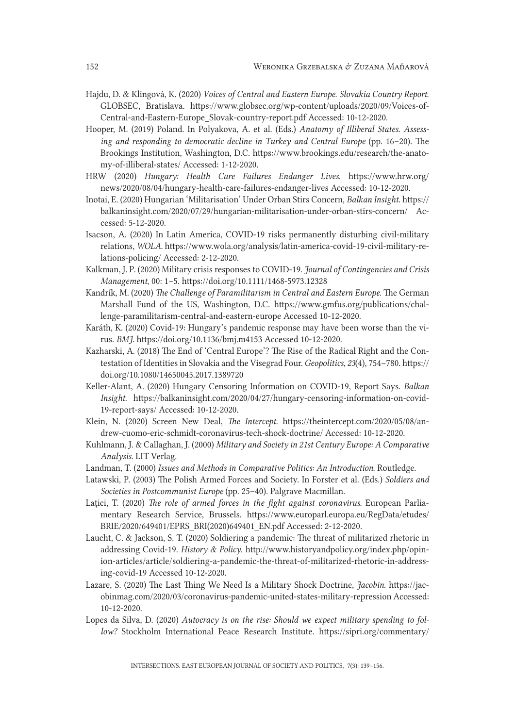- Hajdu, D. & Klingová, K. (2020) *Voices of Central and Eastern Europe*. *Slovakia Country Report*. GLOBSEC, Bratislava. https://www.globsec.org/wp-content/uploads/2020/09/Voices-of-Central-and-Eastern-Europe\_Slovak-country-report.pdf Accessed: 10-12-2020.
- Hooper, M. (2019) Poland. In Polyakova, A. et al. (Eds.) *Anatomy of Illiberal States. Assessing and responding to democratic decline in Turkey and Central Europe* (pp. 16–20). The Brookings Institution, Washington, D.C. https://www.brookings.edu/research/the-anatomy-of-illiberal-states/ Accessed: 1-12-2020.
- HRW (2020) *Hungary: Health Care Failures Endanger Lives.* https://www.hrw.org/ news/2020/08/04/hungary-health-care-failures-endanger-lives Accessed: 10-12-2020.
- Inotai, E. (2020) Hungarian 'Militarisation' Under Orban Stirs Concern, *Balkan Insight.* https:// balkaninsight.com/2020/07/29/hungarian-militarisation-under-orban-stirs-concern/ Accessed: 5-12-2020.
- Isacson, A. (2020) In Latin America, COVID‐19 risks permanently disturbing civil‐military relations, *WOLA.* https://www.wola.org/analysis/latin-america-covid-19-civil-military-relations-policing/ Accessed: 2-12-2020.
- Kalkman, J. P. (2020) Military crisis responses to COVID‐19. *Journal of Contingencies and Crisis Management*, 00: 1–5. https://doi.org/10.1111/1468-5973.12328
- Kandrík, M. (2020) *The Challenge of Paramilitarism in Central and Eastern Europe.* The German Marshall Fund of the US, Washington, D.C. https://www.gmfus.org/publications/challenge-paramilitarism-central-and-eastern-europe Accessed 10-12-2020.
- Karáth, K. (2020) Covid-19: Hungary's pandemic response may have been worse than the virus. *BMJ*. https://doi.org/10.1136/bmj.m4153 Accessed 10-12-2020.
- Kazharski, A. (2018) The End of 'Central Europe'? The Rise of the Radical Right and the Contestation of Identities in Slovakia and the Visegrad Four. *Geopolitics*, *23*(4), 754–780. https:// doi.org/10.1080/14650045.2017.1389720
- Keller-Alant, A. (2020) Hungary Censoring Information on COVID-19, Report Says. *Balkan Insight*. https://balkaninsight.com/2020/04/27/hungary-censoring-information-on-covid-19-report-says/ Accessed: 10-12-2020.
- Klein, N. (2020) Screen New Deal, *The Intercept.* https://theintercept.com/2020/05/08/andrew-cuomo-eric-schmidt-coronavirus-tech-shock-doctrine/ Accessed: 10-12-2020.
- Kuhlmann, J. & Callaghan, J. (2000) *Military and Society in 21st Century Europe: A Comparative Analysis*. LIT Verlag.
- Landman, T. (2000) *Issues and Methods in Comparative Politics: An Introduction*. Routledge.
- Latawski, P. (2003) The Polish Armed Forces and Society. In Forster et al. (Eds.) *Soldiers and Societies in Postcommunist Europe* (pp. 25–40). Palgrave Macmillan.
- Lațici, T. (2020) *The role of armed forces in the fight against coronavirus*. European Parliamentary Research Service, Brussels. https://www.europarl.europa.eu/RegData/etudes/ BRIE/2020/649401/EPRS\_BRI(2020)649401\_EN.pdf Accessed: 2-12-2020.
- Laucht, C. & Jackson, S. T. (2020) Soldiering a pandemic: The threat of militarized rhetoric in addressing Covid-19. *History & Policy.* http://www.historyandpolicy.org/index.php/opinion-articles/article/soldiering-a-pandemic-the-threat-of-militarized-rhetoric-in-addressing-covid-19 Accessed 10-12-2020.
- Lazare, S. (2020) The Last Thing We Need Is a Military Shock Doctrine, *Jacobin*. https://jacobinmag.com/2020/03/coronavirus-pandemic-united-states-military-repression Accessed: 10-12-2020.
- Lopes da Silva, D. (2020) *Autocracy is on the rise: Should we expect military spending to follow?* Stockholm International Peace Research Institute. https://sipri.org/commentary/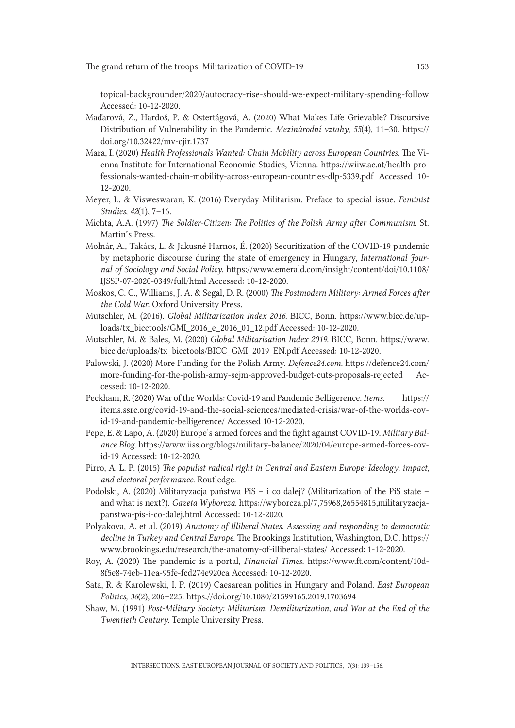topical-backgrounder/2020/autocracy-rise-should-we-expect-military-spending-follow Accessed: 10-12-2020.

- Maďarová, Z., Hardoš, P. & Ostertágová, A. (2020) What Makes Life Grievable? Discursive Distribution of Vulnerability in the Pandemic. *Mezinárodní vztahy*, *55*(4), 11–30. https:// doi.org/10.32422/mv-cjir.1737
- Mara, I. (2020) *Health Professionals Wanted: Chain Mobility across European Countries*. The Vienna Institute for International Economic Studies, Vienna. https://wiiw.ac.at/health-professionals-wanted-chain-mobility-across-european-countries-dlp-5339.pdf Accessed 10- 12-2020.
- Meyer, L. & Visweswaran, K. (2016) Everyday Militarism. Preface to special issue. *Feminist Studies, 42*(1), 7–16.
- Michta, A.A. (1997) *The Soldier-Citizen: The Politics of the Polish Army after Communism*. St. Martin's Press.
- Molnár, A., Takács, L. & Jakusné Harnos, É. (2020) Securitization of the COVID-19 pandemic by metaphoric discourse during the state of emergency in Hungary, *International Journal of Sociology and Social Policy*. https://www.emerald.com/insight/content/doi/10.1108/ IJSSP-07-2020-0349/full/html Accessed: 10-12-2020.
- Moskos, C. C., Williams, J. A. & Segal, D. R. (2000) *The Postmodern Military: Armed Forces after the Cold War*. Oxford University Press.
- Mutschler, M. (2016). *Global Militarization Index 2016*. BICC, Bonn. https://www.bicc.de/uploads/tx\_bicctools/GMI\_2016\_e\_2016\_01\_12.pdf Accessed: 10-12-2020.
- Mutschler, M. & Bales, M. (2020) *Global Militarisation Index 2019*. BICC, Bonn. https://www. bicc.de/uploads/tx\_bicctools/BICC\_GMI\_2019\_EN.pdf Accessed: 10-12-2020.
- Palowski, J. (2020) More Funding for the Polish Army. *Defence24.com.* https://defence24.com/ more-funding-for-the-polish-army-sejm-approved-budget-cuts-proposals-rejected Accessed: 10-12-2020.
- Peckham, R. (2020) War of the Worlds: Covid-19 and Pandemic Belligerence. *Items*. https:// items.ssrc.org/covid-19-and-the-social-sciences/mediated-crisis/war-of-the-worlds-covid-19-and-pandemic-belligerence/ Accessed 10-12-2020.
- Pepe, E. & Lapo, A. (2020) Europe's armed forces and the fight against COVID-19. *Military Balance Blog*. https://www.iiss.org/blogs/military-balance/2020/04/europe-armed-forces-covid-19 Accessed: 10-12-2020.
- Pirro, A. L. P. (2015) *The populist radical right in Central and Eastern Europe: Ideology, impact, and electoral performance*. Routledge.
- Podolski, A. (2020) Militaryzacja państwa PiS i co dalej? (Militarization of the PiS state and what is next?). *Gazeta Wyborcza*. https://wyborcza.pl/7,75968,26554815,militaryzacjapanstwa-pis-i-co-dalej.html Accessed: 10-12-2020.
- Polyakova, A. et al. (2019) *Anatomy of Illiberal States. Assessing and responding to democratic decline in Turkey and Central Europe*. The Brookings Institution, Washington, D.C. https:// www.brookings.edu/research/the-anatomy-of-illiberal-states/ Accessed: 1-12-2020.
- Roy, A. (2020) The pandemic is a portal, *Financial Times*. https://www.ft.com/content/10d-8f5e8-74eb-11ea-95fe-fcd274e920ca Accessed: 10-12-2020.
- Sata, R. & Karolewski, I. P. (2019) Caesarean politics in Hungary and Poland. *East European Politics, 36*(2), 206–225. https://doi.org/10.1080/21599165.2019.1703694
- Shaw, M. (1991) *Post-Military Society: Militarism, Demilitarization, and War at the End of the Twentieth Century*. Temple University Press.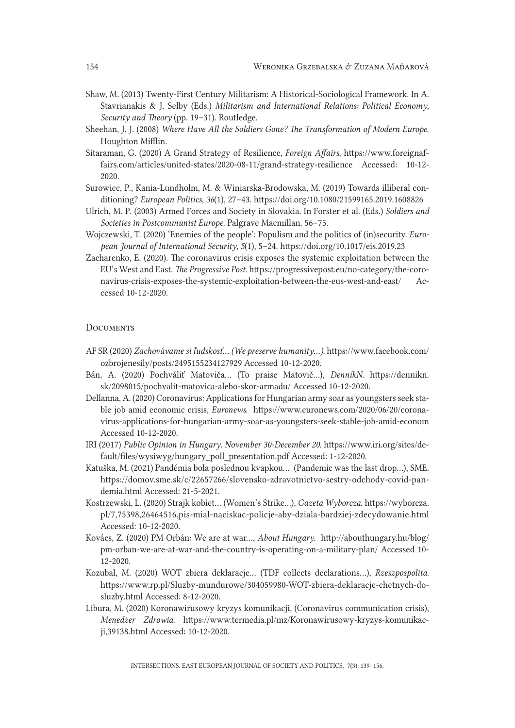- Shaw, M. (2013) Twenty-First Century Militarism: A Historical-Sociological Framework. In A. Stavrianakis & J. Selby (Eds.) *Militarism and International Relations: Political Economy, Security and Theory* (pp. 19–31). Routledge.
- Sheehan, J. J. (2008) *Where Have All the Soldiers Gone? The Transformation of Modern Europe*. Houghton Mifflin.
- Sitaraman, G. (2020) A Grand Strategy of Resilience, *Foreign Affairs*, https://www.foreignaffairs.com/articles/united-states/2020-08-11/grand-strategy-resilience Accessed: 10-12- 2020.
- Surowiec, P., Kania-Lundholm, M. & Winiarska-Brodowska, M. (2019) Towards illiberal conditioning? *European Politics, 36*(1), 27–43. https://doi.org/10.1080/21599165.2019.1608826
- Ulrich, M. P. (2003) Armed Forces and Society in Slovakia. In Forster et al. (Eds.) *Soldiers and Societies in Postcommunist Europe.* Palgrave Macmillan. 56–75.
- Wojczewski, T. (2020) 'Enemies of the people': Populism and the politics of (in)security. *European Journal of International Security, 5*(1), 5–24. https://doi.org/10.1017/eis.2019.23
- Zacharenko, E. (2020). The coronavirus crisis exposes the systemic exploitation between the EU's West and East. *The Progressive Post.* https://progressivepost.eu/no-category/the-coronavirus-crisis-exposes-the-systemic-exploitation-between-the-eus-west-and-east/ Accessed 10-12-2020.

### **DOCUMENTS**

- AF SR (2020) *Zachovávame si ľudskosť… (We preserve humanity…)*. https://www.facebook.com/ ozbrojenesily/posts/2495155234127929 Accessed 10-12-2020.
- Bán, A. (2020) Pochváliť Matoviča… (To praise Matovič…), *DenníkN*. https://dennikn. sk/2098015/pochvalit-matovica-alebo-skor-armadu/ Accessed 10-12-2020.
- Dellanna, A. (2020) Coronavirus: Applications for Hungarian army soar as youngsters seek stable job amid economic crisis, *Euronews*. https://www.euronews.com/2020/06/20/coronavirus-applications-for-hungarian-army-soar-as-youngsters-seek-stable-job-amid-econom Accessed 10-12-2020.
- IRI (2017) *Public Opinion in Hungary. November 30-December 20*. https://www.iri.org/sites/default/files/wysiwyg/hungary\_poll\_presentation.pdf Accessed: 1-12-2020.
- Katuška, M. (2021) Pandémia bola poslednou kvapkou… (Pandemic was the last drop…), SME. https://domov.sme.sk/c/22657266/slovensko-zdravotnictvo-sestry-odchody-covid-pandemia.html Accessed: 21-5-2021.
- Kostrzewski, L. (2020) Strajk kobiet… (Women's Strike…), *Gazeta Wyborcza*. https://wyborcza. pl/7,75398,26464516,pis-mial-naciskac-policje-aby-dziala-bardziej-zdecydowanie.html Accessed: 10-12-2020.
- Kovács, Z. (2020) PM Orbán: We are at war…, *About Hungary*. http://abouthungary.hu/blog/ pm-orban-we-are-at-war-and-the-country-is-operating-on-a-military-plan/ Accessed 10- 12-2020.
- Kozubal, M. (2020) WOT zbiera deklaracje… (TDF collects declarations…), *Rzeszpospolita.*  https://www.rp.pl/Sluzby-mundurowe/304059980-WOT-zbiera-deklaracje-chetnych-dosluzby.html Accessed: 8-12-2020.
- Libura, M. (2020) Koronawirusowy kryzys komunikacji, (Coronavirus communication crisis), *Menedżer Zdrowia.* https://www.termedia.pl/mz/Koronawirusowy-kryzys-komunikacji,39138.html Accessed: 10-12-2020.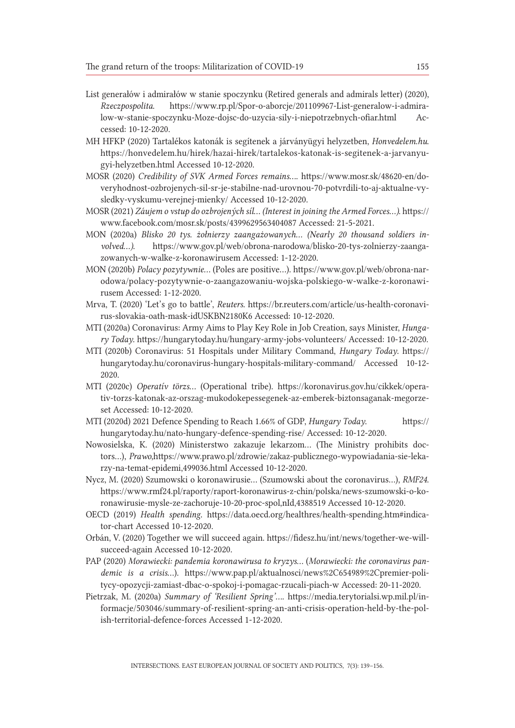- List generałów i admirałów w stanie spoczynku (Retired generals and admirals letter) (2020), *Rzeczpospolita*. https://www.rp.pl/Spor-o-aborcje/201109967-List-generalow-i-admiralow-w-stanie-spoczynku-Moze-dojsc-do-uzycia-sily-i-niepotrzebnych-ofiar.html Accessed: 10-12-2020.
- MH HFKP (2020) Tartalékos katonák is segítenek a járványügyi helyzetben, *Honvedelem.hu*. https://honvedelem.hu/hirek/hazai-hirek/tartalekos-katonak-is-segitenek-a-jarvanyugyi-helyzetben.html Accessed 10-12-2020.
- MOSR (2020) *Credibility of SVK Armed Forces remains…*. https://www.mosr.sk/48620-en/doveryhodnost-ozbrojenych-sil-sr-je-stabilne-nad-urovnou-70-potvrdili-to-aj-aktualne-vysledky-vyskumu-verejnej-mienky/ Accessed 10-12-2020.
- MOSR (2021) *Záujem o vstup do ozbrojených síl*… *(Interest in joining the Armed Forces…)*. https:// www.facebook.com/mosr.sk/posts/4399629563404087 Accessed: 21-5-2021.
- MON (2020a) *Blisko 20 tys. żołnierzy zaangażowanych… (Nearly 20 thousand soldiers involved…)*. https://www.gov.pl/web/obrona-narodowa/blisko-20-tys-zolnierzy-zaangazowanych-w-walke-z-koronawirusem Accessed: 1-12-2020.
- MON (2020b) *Polacy pozytywnie…* (Poles are positive…). https://www.gov.pl/web/obrona-narodowa/polacy-pozytywnie-o-zaangazowaniu-wojska-polskiego-w-walke-z-koronawirusem Accessed: 1-12-2020.
- Mrva, T. (2020) 'Let's go to battle', *Reuters.* https://br.reuters.com/article/us-health-coronavirus-slovakia-oath-mask-idUSKBN2180K6 Accessed: 10-12-2020.
- MTI (2020a) Coronavirus: Army Aims to Play Key Role in Job Creation, says Minister, *Hungary Today*. https://hungarytoday.hu/hungary-army-jobs-volunteers/ Accessed: 10-12-2020.
- MTI (2020b) Coronavirus: 51 Hospitals under Military Command, *Hungary Today*. https:// hungarytoday.hu/coronavirus-hungary-hospitals-military-command/ Accessed 10-12- 2020.
- MTI (2020c) *Operatív törzs…* (Operational tribe). https://koronavirus.gov.hu/cikkek/operativ-torzs-katonak-az-orszag-mukodokepessegenek-az-emberek-biztonsaganak-megorzeset Accessed: 10-12-2020.
- MTI (2020d) 2021 Defence Spending to Reach 1.66% of GDP, *Hungary Today*. https:// hungarytoday.hu/nato-hungary-defence-spending-rise/ Accessed: 10-12-2020.
- Nowosielska, K. (2020) Ministerstwo zakazuje lekarzom… (The Ministry prohibits doctors…), *Prawo*,https://www.prawo.pl/zdrowie/zakaz-publicznego-wypowiadania-sie-lekarzy-na-temat-epidemi,499036.html Accessed 10-12-2020.
- Nycz, M. (2020) Szumowski o koronawirusie… (Szumowski about the coronavirus…), *RMF24*. https://www.rmf24.pl/raporty/raport-koronawirus-z-chin/polska/news-szumowski-o-koronawirusie-mysle-ze-zachoruje-10-20-proc-spol,nId,4388519 Accessed 10-12-2020.
- OECD (2019) *Health spending*. https://data.oecd.org/healthres/health-spending.htm#indicator-chart Accessed 10-12-2020.
- Orbán, V. (2020) Together we will succeed again. https://fidesz.hu/int/news/together-we-willsucceed-again Accessed 10-12-2020.
- PAP (2020) *Morawiecki: pandemia koronawirusa to kryzys...* (*Morawiecki: the coronavirus pandemic is a crisis*…). https://www.pap.pl/aktualnosci/news%2C654989%2Cpremier-politycy-opozycji-zamiast-dbac-o-spokoj-i-pomagac-rzucali-piach-w Accessed: 20-11-2020.
- Pietrzak, M. (2020a) *Summary of 'Resilient Spring'….* https://media.terytorialsi.wp.mil.pl/informacje/503046/summary-of-resilient-spring-an-anti-crisis-operation-held-by-the-polish-territorial-defence-forces Accessed 1-12-2020.